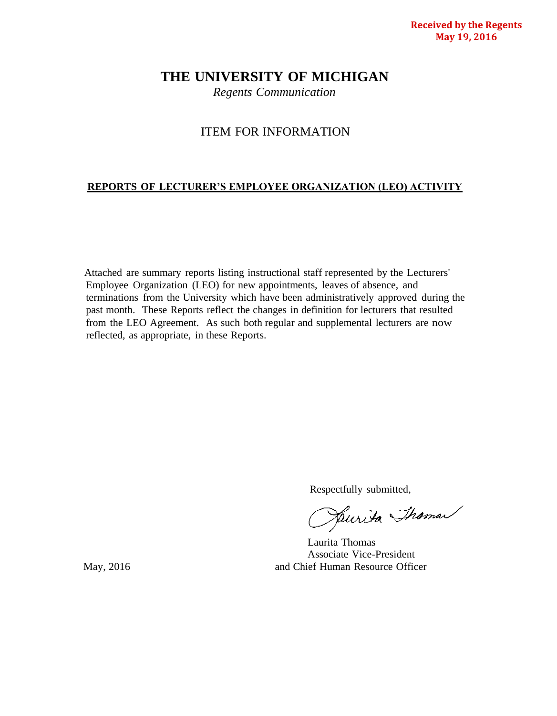# **THE UNIVERSITY OF MICHIGAN**

*Regents Communication*

# ITEM FOR INFORMATION

# **REPORTS OF LECTURER'S EMPLOYEE ORGANIZATION (LEO) ACTIVITY**

Attached are summary reports listing instructional staff represented by the Lecturers' Employee Organization (LEO) for new appointments, leaves of absence, and terminations from the University which have been administratively approved during the past month. These Reports reflect the changes in definition for lecturers that resulted from the LEO Agreement. As such both regular and supplemental lecturers are now reflected, as appropriate, in these Reports.

Respectfully submitted,<br>Pullida Shama

Laurita Thomas Associate Vice-President May, 2016 **and Chief Human Resource Officer**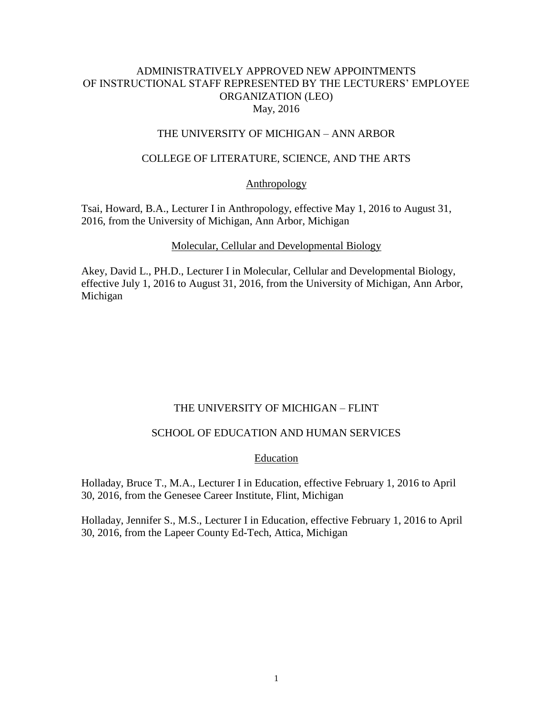## ADMINISTRATIVELY APPROVED NEW APPOINTMENTS OF INSTRUCTIONAL STAFF REPRESENTED BY THE LECTURERS' EMPLOYEE ORGANIZATION (LEO) May, 2016

### THE UNIVERSITY OF MICHIGAN – ANN ARBOR

### COLLEGE OF LITERATURE, SCIENCE, AND THE ARTS

#### Anthropology

Tsai, Howard, B.A., Lecturer I in Anthropology, effective May 1, 2016 to August 31, 2016, from the University of Michigan, Ann Arbor, Michigan

#### Molecular, Cellular and Developmental Biology

Akey, David L., PH.D., Lecturer I in Molecular, Cellular and Developmental Biology, effective July 1, 2016 to August 31, 2016, from the University of Michigan, Ann Arbor, Michigan

### THE UNIVERSITY OF MICHIGAN – FLINT

#### SCHOOL OF EDUCATION AND HUMAN SERVICES

#### Education

Holladay, Bruce T., M.A., Lecturer I in Education, effective February 1, 2016 to April 30, 2016, from the Genesee Career Institute, Flint, Michigan

Holladay, Jennifer S., M.S., Lecturer I in Education, effective February 1, 2016 to April 30, 2016, from the Lapeer County Ed-Tech, Attica, Michigan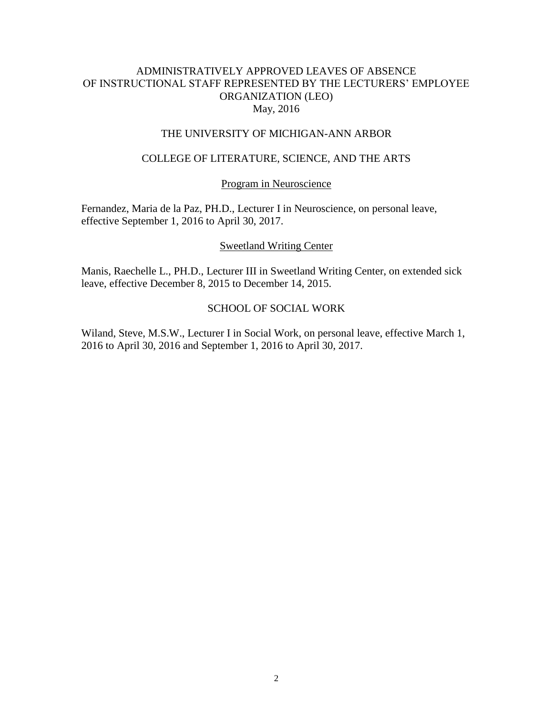## ADMINISTRATIVELY APPROVED LEAVES OF ABSENCE OF INSTRUCTIONAL STAFF REPRESENTED BY THE LECTURERS' EMPLOYEE ORGANIZATION (LEO) May, 2016

### THE UNIVERSITY OF MICHIGAN-ANN ARBOR

### COLLEGE OF LITERATURE, SCIENCE, AND THE ARTS

#### Program in Neuroscience

Fernandez, Maria de la Paz, PH.D., Lecturer I in Neuroscience, on personal leave, effective September 1, 2016 to April 30, 2017.

#### Sweetland Writing Center

Manis, Raechelle L., PH.D., Lecturer III in Sweetland Writing Center, on extended sick leave, effective December 8, 2015 to December 14, 2015.

### SCHOOL OF SOCIAL WORK

Wiland, Steve, M.S.W., Lecturer I in Social Work, on personal leave, effective March 1, 2016 to April 30, 2016 and September 1, 2016 to April 30, 2017.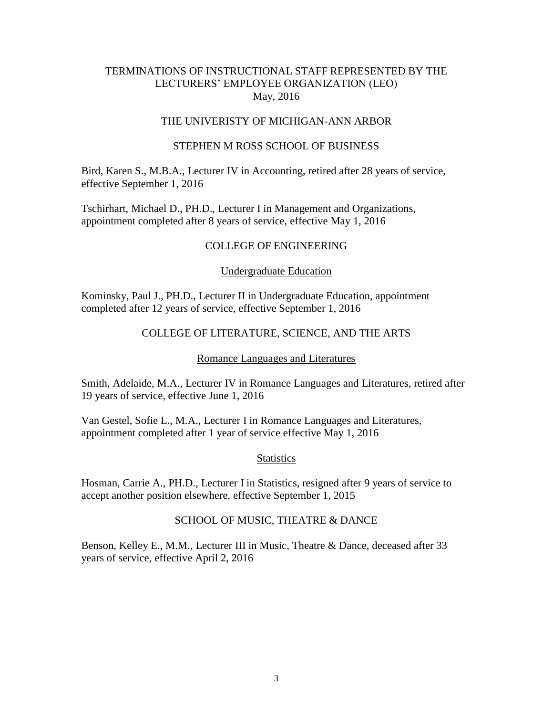### TERMINATIONS OF INSTRUCTIONAL STAFF REPRESENTED BY THE LECTURERS' EMPLOYEE ORGANIZATION (LEO) May, 2016

### THE UNIVERISTY OF MICHIGAN-ANN ARBOR

### STEPHEN M ROSS SCHOOL OF BUSINESS

Bird, Karen S., M.B.A., Lecturer IV in Accounting, retired after 28 years of service, effective September 1, 2016

Tschirhart, Michael D., PH.D., Lecturer I in Management and Organizations, appointment completed after 8 years of service, effective May 1, 2016

### COLLEGE OF ENGINEERING

### Undergraduate Education

Kominsky, Paul J., PH.D., Lecturer II in Undergraduate Education, appointment completed after 12 years of service, effective September 1, 2016

### COLLEGE OF LITERATURE, SCIENCE, AND THE ARTS

#### Romance Languages and Literatures

Smith, Adelaide, M.A., Lecturer IV in Romance Languages and Literatures, retired after 19 years of service, effective June 1, 2016

Van Gestel, Sofie L., M.A., Lecturer I in Romance Languages and Literatures, appointment completed after 1 year of service effective May 1, 2016

#### **Statistics**

Hosman, Carrie A., PH.D., Lecturer I in Statistics, resigned after 9 years of service to accept another position elsewhere, effective September 1, 2015

#### SCHOOL OF MUSIC, THEATRE & DANCE

Benson, Kelley E., M.M., Lecturer III in Music, Theatre & Dance, deceased after 33 years of service, effective April 2, 2016